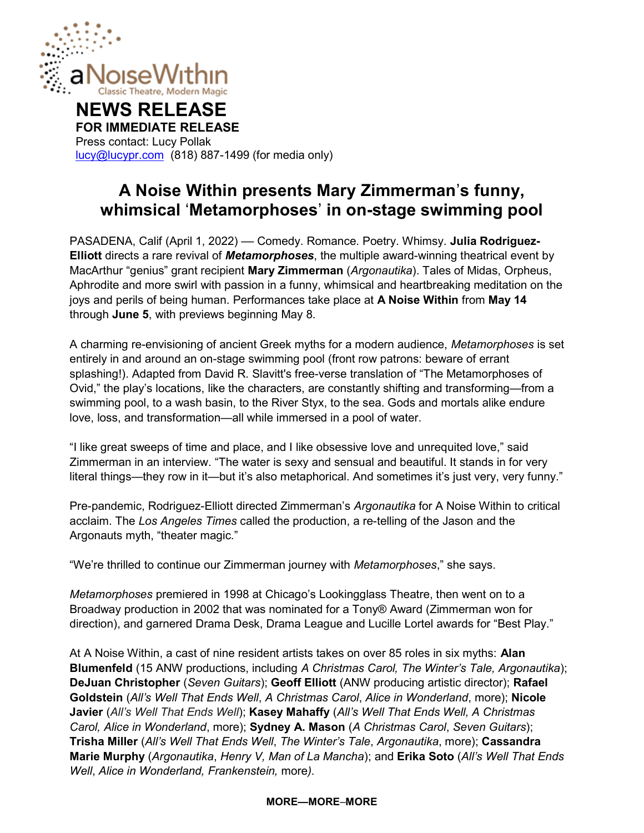

# NEWS RELEASE

FOR IMMEDIATE RELEASE Press contact: Lucy Pollak lucy@lucypr.com (818) 887-1499 (for media only)

# A Noise Within presents Mary Zimmerman's funny, whimsical 'Metamorphoses' in on-stage swimming pool

PASADENA, Calif (April 1, 2022) — Comedy. Romance. Poetry. Whimsy. Julia Rodriguez-Elliott directs a rare revival of Metamorphoses, the multiple award-winning theatrical event by MacArthur "genius" grant recipient Mary Zimmerman (Argonautika). Tales of Midas, Orpheus, Aphrodite and more swirl with passion in a funny, whimsical and heartbreaking meditation on the joys and perils of being human. Performances take place at A Noise Within from May 14 through June 5, with previews beginning May 8.

A charming re-envisioning of ancient Greek myths for a modern audience, Metamorphoses is set entirely in and around an on-stage swimming pool (front row patrons: beware of errant splashing!). Adapted from David R. Slavitt's free-verse translation of "The Metamorphoses of Ovid," the play's locations, like the characters, are constantly shifting and transforming—from a swimming pool, to a wash basin, to the River Styx, to the sea. Gods and mortals alike endure love, loss, and transformation—all while immersed in a pool of water.

"I like great sweeps of time and place, and I like obsessive love and unrequited love," said Zimmerman in an interview. "The water is sexy and sensual and beautiful. It stands in for very literal things—they row in it—but it's also metaphorical. And sometimes it's just very, very funny."

Pre-pandemic, Rodriguez-Elliott directed Zimmerman's Argonautika for A Noise Within to critical acclaim. The Los Angeles Times called the production, a re-telling of the Jason and the Argonauts myth, "theater magic."

"We're thrilled to continue our Zimmerman journey with Metamorphoses," she says.

Metamorphoses premiered in 1998 at Chicago's Lookingglass Theatre, then went on to a Broadway production in 2002 that was nominated for a Tony® Award (Zimmerman won for direction), and garnered Drama Desk, Drama League and Lucille Lortel awards for "Best Play."

At A Noise Within, a cast of nine resident artists takes on over 85 roles in six myths: Alan Blumenfeld (15 ANW productions, including A Christmas Carol, The Winter's Tale, Argonautika); DeJuan Christopher (Seven Guitars); Geoff Elliott (ANW producing artistic director); Rafael Goldstein (All's Well That Ends Well, A Christmas Carol, Alice in Wonderland, more); Nicole Javier (All's Well That Ends Well); Kasey Mahaffy (All's Well That Ends Well, A Christmas Carol, Alice in Wonderland, more); Sydney A. Mason (A Christmas Carol, Seven Guitars); Trisha Miller (All's Well That Ends Well, The Winter's Tale, Argonautika, more); Cassandra Marie Murphy (Argonautika, Henry V, Man of La Mancha); and Erika Soto (All's Well That Ends Well, Alice in Wonderland, Frankenstein, more).

## MORE—MORE–MORE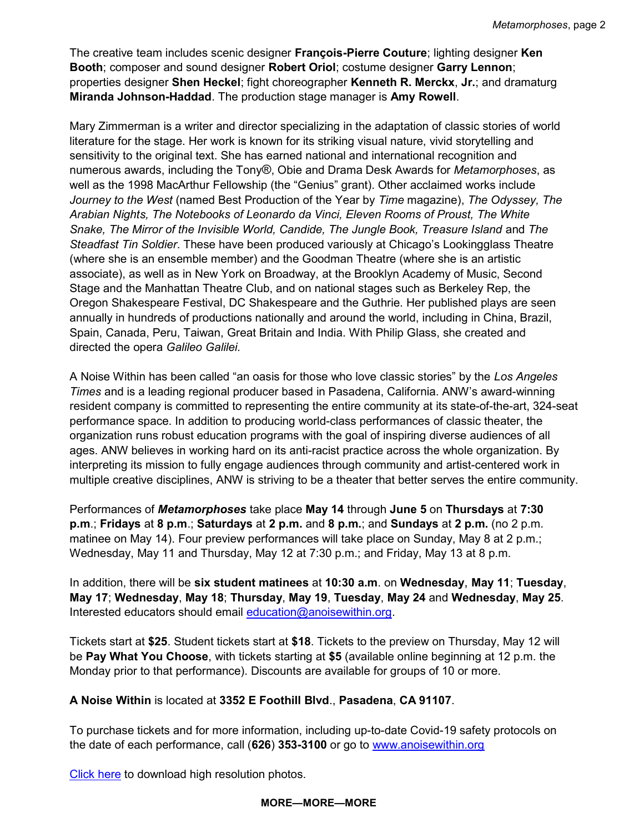The creative team includes scenic designer François-Pierre Couture; lighting designer Ken Booth; composer and sound designer Robert Oriol; costume designer Garry Lennon; properties designer Shen Heckel; fight choreographer Kenneth R. Merckx, Jr.; and dramaturg Miranda Johnson-Haddad. The production stage manager is Amy Rowell.

Mary Zimmerman is a writer and director specializing in the adaptation of classic stories of world literature for the stage. Her work is known for its striking visual nature, vivid storytelling and sensitivity to the original text. She has earned national and international recognition and numerous awards, including the Tony®, Obie and Drama Desk Awards for Metamorphoses, as well as the 1998 MacArthur Fellowship (the "Genius" grant). Other acclaimed works include Journey to the West (named Best Production of the Year by Time magazine), The Odyssey, The Arabian Nights, The Notebooks of Leonardo da Vinci, Eleven Rooms of Proust, The White Snake, The Mirror of the Invisible World, Candide, The Jungle Book, Treasure Island and The Steadfast Tin Soldier. These have been produced variously at Chicago's Lookingglass Theatre (where she is an ensemble member) and the Goodman Theatre (where she is an artistic associate), as well as in New York on Broadway, at the Brooklyn Academy of Music, Second Stage and the Manhattan Theatre Club, and on national stages such as Berkeley Rep, the Oregon Shakespeare Festival, DC Shakespeare and the Guthrie. Her published plays are seen annually in hundreds of productions nationally and around the world, including in China, Brazil, Spain, Canada, Peru, Taiwan, Great Britain and India. With Philip Glass, she created and directed the opera Galileo Galilei.

A Noise Within has been called "an oasis for those who love classic stories" by the Los Angeles Times and is a leading regional producer based in Pasadena, California. ANW's award-winning resident company is committed to representing the entire community at its state-of-the-art, 324-seat performance space. In addition to producing world-class performances of classic theater, the organization runs robust education programs with the goal of inspiring diverse audiences of all ages. ANW believes in working hard on its anti-racist practice across the whole organization. By interpreting its mission to fully engage audiences through community and artist-centered work in multiple creative disciplines, ANW is striving to be a theater that better serves the entire community.

Performances of Metamorphoses take place May 14 through June 5 on Thursdays at 7:30 p.m.; Fridays at 8 p.m.; Saturdays at 2 p.m. and 8 p.m.; and Sundays at 2 p.m. (no 2 p.m. matinee on May 14). Four preview performances will take place on Sunday, May 8 at 2 p.m.; Wednesday, May 11 and Thursday, May 12 at 7:30 p.m.; and Friday, May 13 at 8 p.m.

In addition, there will be six student matinees at 10:30 a.m. on Wednesday, May 11; Tuesday, May 17; Wednesday, May 18; Thursday, May 19, Tuesday, May 24 and Wednesday, May 25. Interested educators should email education@anoisewithin.org.

Tickets start at \$25. Student tickets start at \$18. Tickets to the preview on Thursday, May 12 will be Pay What You Choose, with tickets starting at \$5 (available online beginning at 12 p.m. the Monday prior to that performance). Discounts are available for groups of 10 or more.

## A Noise Within is located at 3352 E Foothill Blvd., Pasadena, CA 91107.

To purchase tickets and for more information, including up-to-date Covid-19 safety protocols on the date of each performance, call (626) 353-3100 or go to www.anoisewithin.org

Click here to download high resolution photos.

#### MORE—MORE—MORE